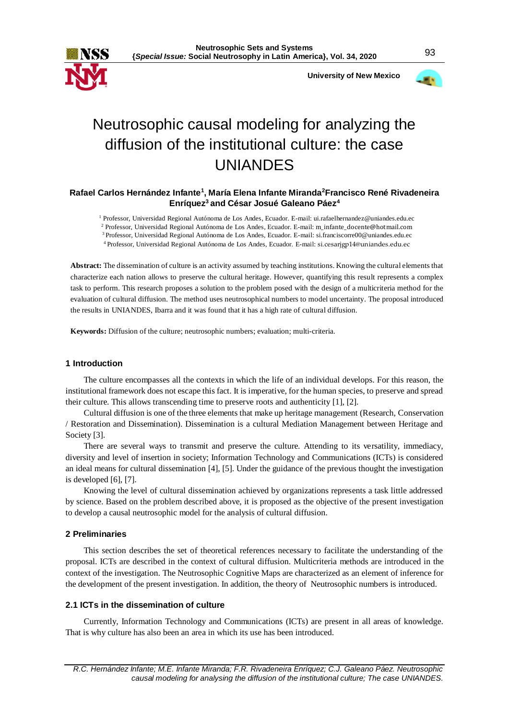

 **University of New Mexico**



# Neutrosophic causal modeling for analyzing the diffusion of the institutional culture: the case UNIANDES

## **Rafael Carlos Hernández Infante<sup>1</sup> , María Elena Infante Miranda<sup>2</sup>Francisco René Rivadeneira Enríquez<sup>3</sup>and César Josué Galeano Páez<sup>4</sup>**

<sup>1</sup> Professor, Universidad Regional Autónoma de Los Andes, Ecuador. E-mail: ui.rafaelhernandez@uniandes.edu.ec

<sup>2</sup> Professor, Universidad Regional Autónoma de Los Andes, Ecuador. E-mail: [m\\_infante\\_docente@hotmail.com](mailto:m_infante_docente@hotmail.com)

<sup>3</sup>Professor, Universidad Regional Autónoma de Los Andes, Ecuador. E-mail: si.franciscorre00@uniandes.edu.ec

<sup>4</sup>Professor, Universidad Regional Autónoma de Los Andes, Ecuador. E-mail: si.cesarjgp14@uniandes.edu.ec

**Abstract:** The dissemination of culture is an activity assumed by teaching institutions. Knowing the cultural elements that characterize each nation allows to preserve the cultural heritage. However, quantifying this result represents a complex task to perform. This research proposes a solution to the problem posed with the design of a multicriteria method for the evaluation of cultural diffusion. The method uses neutrosophical numbers to model uncertainty. The proposal introduced the results in UNIANDES, Ibarra and it was found that it has a high rate of cultural diffusion.

**Keywords:** Diffusion of the culture; neutrosophic numbers; evaluation; multi-criteria.

## **1 Introduction**

The culture encompasses all the contexts in which the life of an individual develops. For this reason, the institutional framework does not escape this fact. It is imperative, for the human species, to preserve and spread their culture. This allows transcending time to preserve roots and authenticity [\[1\]](#page-5-0), [\[2\]](#page-5-1).

Cultural diffusion is one of the three elements that make up heritage management (Research, Conservation / Restoration and Dissemination). Dissemination is a cultural Mediation Management between Heritage and Society [\[3\]](#page-5-2).

There are several ways to transmit and preserve the culture. Attending to its versatility, immediacy, diversity and level of insertion in society; Information Technology and Communications (ICTs) is considered an ideal means for cultural dissemination [\[4\]](#page-5-3), [5]. Under the guidance of the previous thought the investigation is developed [6], [7].

Knowing the level of cultural dissemination achieved by organizations represents a task little addressed by science. Based on the problem described above, it is proposed as the objective of the present investigation to develop a causal neutrosophic model for the analysis of cultural diffusion.

### **2 Preliminaries**

This section describes the set of theoretical references necessary to facilitate the understanding of the proposal. ICTs are described in the context of cultural diffusion. Multicriteria methods are introduced in the context of the investigation. The Neutrosophic Cognitive Maps are characterized as an element of inference for the development of the present investigation. In addition, the theory of Neutrosophic numbers is introduced.

## **2.1 ICTs in the dissemination of culture**

Currently, Information Technology and Communications (ICTs) are present in all areas of knowledge. That is why culture has also been an area in which its use has been introduced.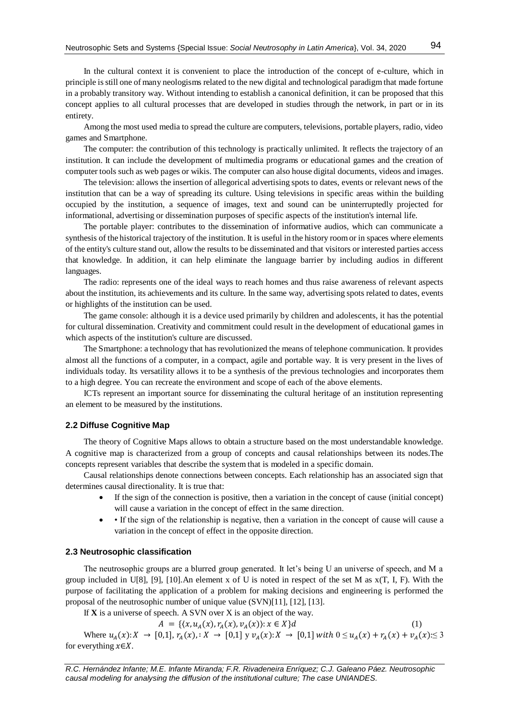In the cultural context it is convenient to place the introduction of the concept of e-culture, which in principle is still one of many neologisms related to the new digital and technological paradigm that made fortune in a probably transitory way. Without intending to establish a canonical definition, it can be proposed that this concept applies to all cultural processes that are developed in studies through the network, in part or in its entirety.

Among the most used media to spread the culture are computers, televisions, portable players, radio, video games and Smartphone.

The computer: the contribution of this technology is practically unlimited. It reflects the trajectory of an institution. It can include the development of multimedia programs or educational games and the creation of computer tools such as web pages or wikis. The computer can also house digital documents, videos and images.

The television: allows the insertion of allegorical advertising spots to dates, events or relevant news of the institution that can be a way of spreading its culture. Using televisions in specific areas within the building occupied by the institution, a sequence of images, text and sound can be uninterruptedly projected for informational, advertising or dissemination purposes of specific aspects of the institution's internal life.

The portable player: contributes to the dissemination of informative audios, which can communicate a synthesis of the historical trajectory of the institution. It is useful in the history room or in spaces where elements of the entity's culture stand out, allow the results to be disseminated and that visitors or interested parties access that knowledge. In addition, it can help eliminate the language barrier by including audios in different languages.

The radio: represents one of the ideal ways to reach homes and thus raise awareness of relevant aspects about the institution, its achievements and its culture. In the same way, advertising spots related to dates, events or highlights of the institution can be used.

The game console: although it is a device used primarily by children and adolescents, it has the potential for cultural dissemination. Creativity and commitment could result in the development of educational games in which aspects of the institution's culture are discussed.

The Smartphone: a technology that has revolutionized the means of telephone communication. It provides almost all the functions of a computer, in a compact, agile and portable way. It is very present in the lives of individuals today. Its versatility allows it to be a synthesis of the previous technologies and incorporates them to a high degree. You can recreate the environment and scope of each of the above elements.

ICTs represent an important source for disseminating the cultural heritage of an institution representing an element to be measured by the institutions.

#### **2.2 Diffuse Cognitive Map**

The theory of Cognitive Maps allows to obtain a structure based on the most understandable knowledge. A cognitive map is characterized from a group of concepts and causal relationships between its nodes.The concepts represent variables that describe the system that is modeled in a specific domain.

Causal relationships denote connections between concepts. Each relationship has an associated sign that determines causal directionality. It is true that:

- If the sign of the connection is positive, then a variation in the concept of cause (initial concept) will cause a variation in the concept of effect in the same direction.
- If the sign of the relationship is negative, then a variation in the concept of cause will cause a variation in the concept of effect in the opposite direction.

#### **2.3 Neutrosophic classification**

The neutrosophic groups are a blurred group generated. It let's being U an universe of speech, and M a group included in U[8], [9], [10].An element x of U is noted in respect of the set M as  $x(T, I, F)$ . With the purpose of facilitating the application of a problem for making decisions and engineering is performed the proposal of the neutrosophic number of unique value (SVN)[11], [12], [13].

If **X** is a universe of speech. A SVN over X is an object of the way.

 $A = \{(x, u_A(x), r_A(x), v_A(x)) : x \in X\}$ d (1) Where  $u_A(x): X \to [0,1], r_A(x): X \to [0,1]$  y  $v_A(x): X \to [0,1]$  with  $0 \le u_A(x) + r_A(x) + v_A(x) \le 3$ for everything  $x \in X$ .

*R.C. Hernández Infante; M.E. Infante Miranda; F.R. Rivadeneira Enríquez; C.J. Galeano Páez. Neutrosophic causal modeling for analysing the diffusion of the institutional culture; The case UNIANDES.*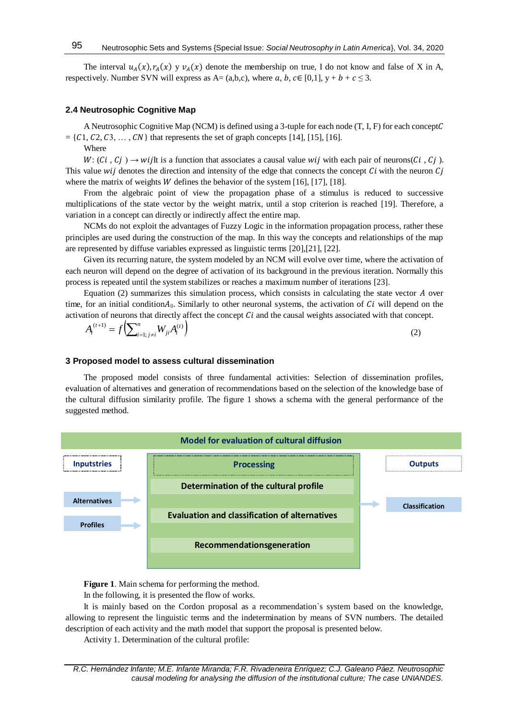The interval  $u_A(x)$ ,  $r_A(x)$  y  $v_A(x)$  denote the membership on true, I do not know and false of X in A, respectively. Number SVN will express as A= (a,b,c), where a, b, c  $\in$  [0,1],  $y + b + c \le 3$ .

#### **2.4 Neutrosophic Cognitive Map**

A Neutrosophic Cognitive Map (NCM) is defined using a 3-tuple for each node  $(T, I, F)$  for each concept  $C$  $= \{C_1, C_2, C_3, \ldots, C_N\}$  that represents the set of graph concepts [14], [15], [16].

Where

 $W: (Ci, Cj) \rightarrow wij$ It is a function that associates a causal value wij with each pair of neurons( $Ci, Cj$ ). This value  $wij$  denotes the direction and intensity of the edge that connects the concept  $Ci$  with the neuron  $Cj$ where the matrix of weights *W* defines the behavior of the system [16], [17], [18].

From the algebraic point of view the propagation phase of a stimulus is reduced to successive multiplications of the state vector by the weight matrix, until a stop criterion is reached [19]. Therefore, a variation in a concept can directly or indirectly affect the entire map.

NCMs do not exploit the advantages of Fuzzy Logic in the information propagation process, rather these principles are used during the construction of the map. In this way the concepts and relationships of the map are represented by diffuse variables expressed as linguistic terms [20],[21], [22].

Given its recurring nature, the system modeled by an NCM will evolve over time, where the activation of each neuron will depend on the degree of activation of its background in the previous iteration. Normally this process is repeated until the system stabilizes or reaches a maximum number of iterations [23].

Equation (2) summarizes this simulation process, which consists in calculating the state vector  $A$  over time, for an initial condition $A_0$ . Similarly to other neuronal systems, the activation of  $Ci$  will depend on the activation of neurons that directly affect the concept  $Ci$  and the causal weights associated with that concept.

$$
A_i^{(t+1)} = f\left(\sum_{i=1; j \neq i}^n W_{ji} A_i^{(t)}\right)
$$
 (2)

#### **3 Proposed model to assess cultural dissemination**

The proposed model consists of three fundamental activities: Selection of dissemination profiles, evaluation of alternatives and generation of recommendations based on the selection of the knowledge base of the cultural diffusion similarity profile. The figure 1 shows a schema with the general performance of the suggested method.



**Figure 1**. Main schema for performing the method.

In the following, it is presented the flow of works.

It is mainly based on the Cordon proposal as a recommendation`s system based on the knowledge, allowing to represent the linguistic terms and the indetermination by means of SVN numbers. The detailed description of each activity and the math model that support the proposal is presented below.

Activity 1. Determination of the cultural profile: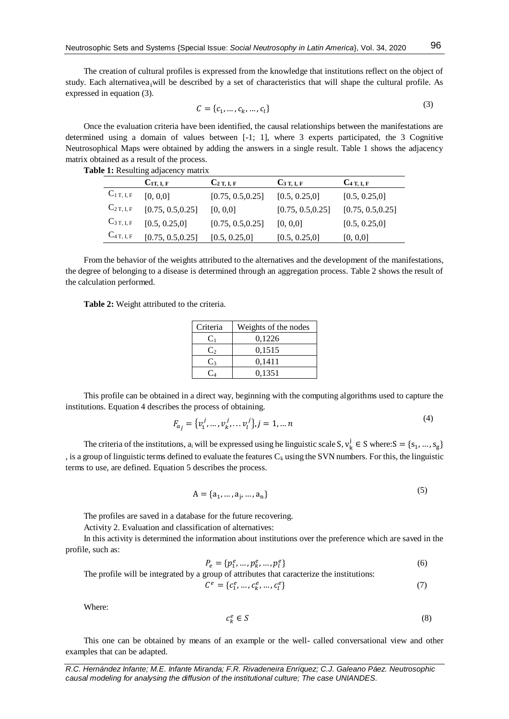The creation of cultural profiles is expressed from the knowledge that institutions reflect on the object of study. Each alternativea<sub>i</sub> will be described by a set of characteristics that will shape the cultural profile. As expressed in equation (3).

$$
C = \{c_1, \dots, c_k, \dots, c_l\}
$$
 (3)

Once the evaluation criteria have been identified, the causal relationships between the manifestations are determined using a domain of values between [-1; 1], where 3 experts participated, the 3 Cognitive Neutrosophical Maps were obtained by adding the answers in a single result. Table 1 shows the adjacency matrix obtained as a result of the process.

|                | $C_{1T, L, F}$    | $C_{2T, I, F}$    | $C_3$ T, I, F     | $C_4$ T, I, F     |
|----------------|-------------------|-------------------|-------------------|-------------------|
| $C_{1T, I, F}$ | [0, 0, 0]         | [0.75, 0.5, 0.25] | [0.5, 0.25, 0]    | [0.5, 0.25, 0]    |
| $C_{2T, I, F}$ | [0.75, 0.5, 0.25] | [0, 0, 0]         | [0.75, 0.5, 0.25] | [0.75, 0.5, 0.25] |
| $C_{3T,L,F}$   | [0.5, 0.25, 0]    | [0.75, 0.5, 0.25] | [0, 0, 0]         | [0.5, 0.25, 0]    |
| $C_{4T, I, F}$ | [0.75, 0.5, 0.25] | [0.5, 0.25, 0]    | [0.5, 0.25, 0]    | [0, 0, 0]         |

**Table 1:** Resulting adjacency matrix

From the behavior of the weights attributed to the alternatives and the development of the manifestations, the degree of belonging to a disease is determined through an aggregation process. Table 2 shows the result of the calculation performed.

**Table 2:** Weight attributed to the criteria.

| Criteria | Weights of the nodes |  |
|----------|----------------------|--|
| C1       | 0,1226               |  |
| $C_2$    | 0,1515               |  |
| $C_3$    | 0,1411               |  |
|          | 0,1351               |  |

This profile can be obtained in a direct way, beginning with the computing algorithms used to capture the institutions. Equation 4 describes the process of obtaining.

$$
F_{a_j} = \{v_1^j, \dots, v_k^j, \dots v_l^j\}, j = 1, \dots n
$$
\n(4)

The criteria of the institutions,  $a_i$  will be expressed using he linguistic scale S,  $v_k^j \in S$  where:  $S = \{s_1, ..., s_g\}$ , is a group of linguistic terms defined to evaluate the features  $C_k$  using the SVN numbers. For this, the linguistic terms to use, are defined. Equation 5 describes the process.

$$
A = \{a_1, ..., a_j, ..., a_n\}
$$
 (5)

The profiles are saved in a database for the future recovering.

Activity 2. Evaluation and classification of alternatives:

In this activity is determined the information about institutions over the preference which are saved in the profile, such as:

$$
P_e = \{p_1^e, \dots, p_k^e, \dots, p_l^e\}
$$
 (6)

The profile will be integrated by a group of attributes that caracterize the institutions:

$$
\mathcal{C}^e = \{c_1^e, \dots, c_k^e, \dots, c_l^e\} \tag{7}
$$

Where:

$$
c_k^e \in S \tag{8}
$$

This one can be obtained by means of an example or the well- called conversational view and other examples that can be adapted.

*R.C. Hernández Infante; M.E. Infante Miranda; F.R. Rivadeneira Enríquez; C.J. Galeano Páez. Neutrosophic causal modeling for analysing the diffusion of the institutional culture; The case UNIANDES.*

 $(2)$ 

 $\sim$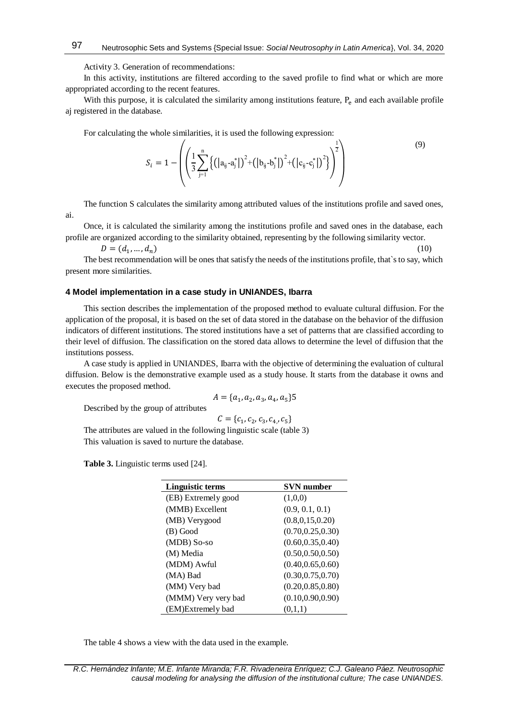Activity 3. Generation of recommendations:

In this activity, institutions are filtered according to the saved profile to find what or which are more appropriated according to the recent features.

With this purpose, it is calculated the similarity among institutions feature,  $P_e$  and each available profile aj registered in the database.

For calculating the whole similarities, it is used the following expression:

$$
S_{i} = 1 - \left( \left( \frac{1}{3} \sum_{j=1}^{n} \left\{ \left( |a_{ij} - a_{j}^{*}| \right)^{2} + \left( |b_{ij} - b_{j}^{*}| \right)^{2} + \left( |c_{ij} - c_{j}^{*}| \right)^{2} \right\} \right)^{\frac{1}{2}} \right) \tag{9}
$$

The function S calculates the similarity among attributed values of the institutions profile and saved ones,

Once, it is calculated the similarity among the institutions profile and saved ones in the database, each profile are organized according to the similarity obtained, representing by the following similarity vector.

 $D = (d_1, ..., d_n)$ , ...,  $d_n$ ) (10)

ai.

The best recommendation will be ones that satisfy the needs of the institutions profile, that`s to say, which present more similarities.

#### **4 Model implementation in a case study in UNIANDES, Ibarra**

This section describes the implementation of the proposed method to evaluate cultural diffusion. For the application of the proposal, it is based on the set of data stored in the database on the behavior of the diffusion indicators of different institutions. The stored institutions have a set of patterns that are classified according to their level of diffusion. The classification on the stored data allows to determine the level of diffusion that the institutions possess.

A case study is applied in UNIANDES, Ibarra with the objective of determining the evaluation of cultural diffusion. Below is the demonstrative example used as a study house. It starts from the database it owns and executes the proposed method.

$$
A = \{a_1, a_2, a_3, a_4, a_5\}5
$$

Described by the group of attributes

$$
C = \{c_1, c_2, c_3, c_4, c_5\}
$$

The attributes are valued in the following linguistic scale (table 3) This valuation is saved to nurture the database.

**Table 3.** Linguistic terms used [24].

| Linguistic terms    | <b>SVN</b> number  |  |  |
|---------------------|--------------------|--|--|
| (EB) Extremely good | (1,0,0)            |  |  |
| (MMB) Excellent     | (0.9, 0.1, 0.1)    |  |  |
| (MB) Verygood       | (0.8, 0.15, 0.20)  |  |  |
| (B) Good            | (0.70, 0.25, 0.30) |  |  |
| (MDB) So-so         | (0.60, 0.35, 0.40) |  |  |
| (M) Media           | (0.50, 0.50, 0.50) |  |  |
| (MDM) Awful         | (0.40, 0.65, 0.60) |  |  |
| (MA) Bad            | (0.30, 0.75, 0.70) |  |  |
| (MM) Very bad       | (0.20, 0.85, 0.80) |  |  |
| (MMM) Very very bad | (0.10, 0.90, 0.90) |  |  |
| (EM)Extremely bad   | (0.1.1)            |  |  |

The table 4 shows a view with the data used in the example.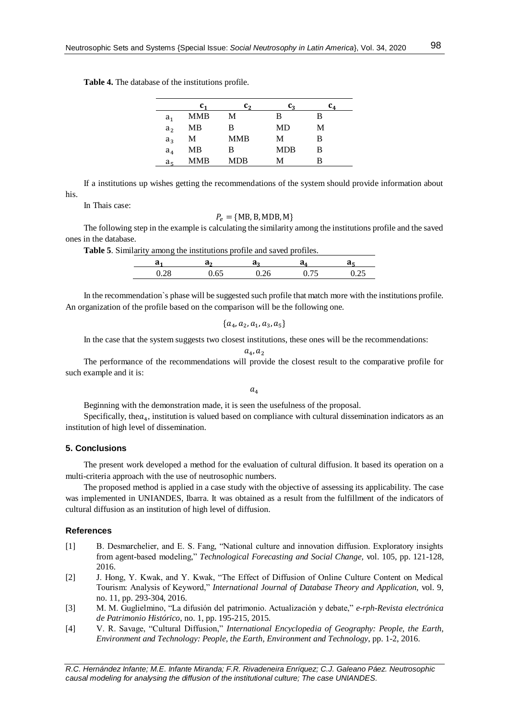|  |  | <b>Table 4.</b> The database of the institutions profile. |  |
|--|--|-----------------------------------------------------------|--|
|  |  |                                                           |  |

|                |     | C,         | C2         | C4 |
|----------------|-----|------------|------------|----|
| a <sub>1</sub> | MMB | М          | в          | в  |
| a <sub>2</sub> | MВ  | В          | MD         | М  |
| $a_3$          | М   | <b>MMB</b> | М          | в  |
| a <sub>4</sub> | MB  | в          | <b>MDB</b> | B  |
| aς             | MMB | MDB        | М          | в  |

If a institutions up wishes getting the recommendations of the system should provide information about his.

In Thais case:

$$
P_e = \{MB, B, MDB, M\}
$$

The following step in the example is calculating the similarity among the institutions profile and the saved ones in the database.

**Table 5**. Similarity among the institutions profile and saved profiles.

| u             | a· | u. |               |  |
|---------------|----|----|---------------|--|
| $\cap$<br>◡⊷◡ |    |    | - -<br>$\sim$ |  |

In the recommendation`s phase will be suggested such profile that match more with the institutions profile. An organization of the profile based on the comparison will be the following one.

$$
\{a_4, a_2, a_1, a_3, a_5\}
$$

In the case that the system suggests two closest institutions, these ones will be the recommendations:

$$
a_4, a_2
$$

The performance of the recommendations will provide the closest result to the comparative profile for such example and it is:

 $a_4$ 

Beginning with the demonstration made, it is seen the usefulness of the proposal.

Specifically, the $a_4$ , institution is valued based on compliance with cultural dissemination indicators as an institution of high level of dissemination.

## **5. Conclusions**

The present work developed a method for the evaluation of cultural diffusion. It based its operation on a multi-criteria approach with the use of neutrosophic numbers.

The proposed method is applied in a case study with the objective of assessing its applicability. The case was implemented in UNIANDES, Ibarra. It was obtained as a result from the fulfillment of the indicators of cultural diffusion as an institution of high level of diffusion.

## **References**

- <span id="page-5-0"></span>[1] B. Desmarchelier, and E. S. Fang, "National culture and innovation diffusion. Exploratory insights from agent-based modeling," *Technological Forecasting and Social Change,* vol. 105, pp. 121-128, 2016.
- <span id="page-5-1"></span>[2] J. Hong, Y. Kwak, and Y. Kwak, "The Effect of Diffusion of Online Culture Content on Medical Tourism: Analysis of Keyword," *International Journal of Database Theory and Application,* vol. 9, no. 11, pp. 293-304, 2016.
- <span id="page-5-2"></span>[3] M. M. Guglielmino, "La difusión del patrimonio. Actualización y debate," *e-rph-Revista electrónica de Patrimonio Histórico*, no. 1, pp. 195-215, 2015.
- <span id="page-5-3"></span>[4] V. R. Savage, "Cultural Diffusion," *International Encyclopedia of Geography: People, the Earth, Environment and Technology: People, the Earth, Environment and Technology*, pp. 1-2, 2016.

*R.C. Hernández Infante; M.E. Infante Miranda; F.R. Rivadeneira Enríquez; C.J. Galeano Páez. Neutrosophic causal modeling for analysing the diffusion of the institutional culture; The case UNIANDES.*